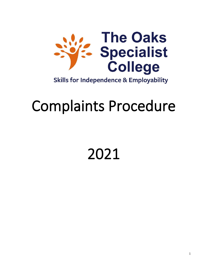

# Complaints Procedure

##